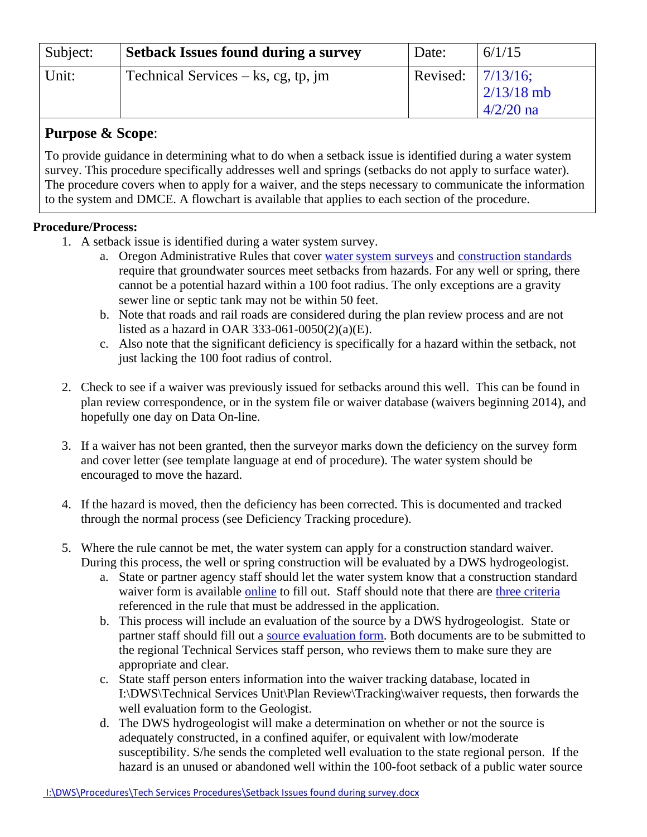| Subject: | <b>Setback Issues found during a survey</b> | Date:                | 6/1/15                      |
|----------|---------------------------------------------|----------------------|-----------------------------|
| Unit:    | $\vert$ Technical Services – ks, cg, tp, jm | Revised: $ 7/13/16;$ | $2/13/18$ mb<br>$4/2/20$ na |

## **Purpose & Scope**:

To provide guidance in determining what to do when a setback issue is identified during a water system survey. This procedure specifically addresses well and springs (setbacks do not apply to surface water). The procedure covers when to apply for a waiver, and the steps necessary to communicate the information to the system and DMCE. A flowchart is available that applies to each section of the procedure.

## **Procedure/Process:**

- 1. A setback issue is identified during a water system survey.
	- a. Oregon Administrative Rules that cover [water system surveys](http://public.health.oregon.gov/HealthyEnvironments/DrinkingWater/Rules/Documents/61-0075.pdf#page=2) and [construction standards](http://public.health.oregon.gov/HealthyEnvironments/DrinkingWater/Rules/Documents/61-0050.pdf) require that groundwater sources meet setbacks from hazards. For any well or spring, there cannot be a potential hazard within a 100 foot radius. The only exceptions are a gravity sewer line or septic tank may not be within 50 feet.
	- b. Note that roads and rail roads are considered during the plan review process and are not listed as a hazard in OAR 333-061-0050(2)(a)(E).
	- c. Also note that the significant deficiency is specifically for a hazard within the setback, not just lacking the 100 foot radius of control.
- 2. Check to see if a waiver was previously issued for setbacks around this well. This can be found in plan review correspondence, or in the system file or waiver database (waivers beginning 2014), and hopefully one day on Data On-line.
- 3. If a waiver has not been granted, then the surveyor marks down the deficiency on the survey form and cover letter (see template language at end of procedure). The water system should be encouraged to move the hazard.
- 4. If the hazard is moved, then the deficiency has been corrected. This is documented and tracked through the normal process (see Deficiency Tracking procedure).
- 5. Where the rule cannot be met, the water system can apply for a construction standard waiver. During this process, the well or spring construction will be evaluated by a DWS hydrogeologist.
	- a. State or partner agency staff should let the water system know that a construction standard waiver form is available [online](http://www.oregon.gov/oha/PH/HEALTHYENVIRONMENTS/DRINKINGWATER/PLANREVIEW/Documents/WAIVER.doc) to fill out. Staff should note that there are three [criteria](http://public.health.oregon.gov/HealthyEnvironments/DrinkingWater/Rules/Documents/61-0050.pdf#page=27) referenced in the rule that must be addressed in the application.
	- b. This process will include an evaluation of the source by a DWS hydrogeologist. State or partner staff should fill out a [source evaluation form.](http://www.oregon.gov/oha/PH/HEALTHYENVIRONMENTS/DRINKINGWATER/PARTNERS/Documents/gwr/SourceEval.pdf) Both documents are to be submitted to the regional Technical Services staff person, who reviews them to make sure they are appropriate and clear.
	- c. State staff person enters information into the waiver tracking database, located in I:\DWS\Technical Services Unit\Plan Review\Tracking\waiver requests, then forwards the well evaluation form to the Geologist.
	- d. The DWS hydrogeologist will make a determination on whether or not the source is adequately constructed, in a confined aquifer, or equivalent with low/moderate susceptibility. S/he sends the completed well evaluation to the state regional person. If the hazard is an unused or abandoned well within the 100-foot setback of a public water source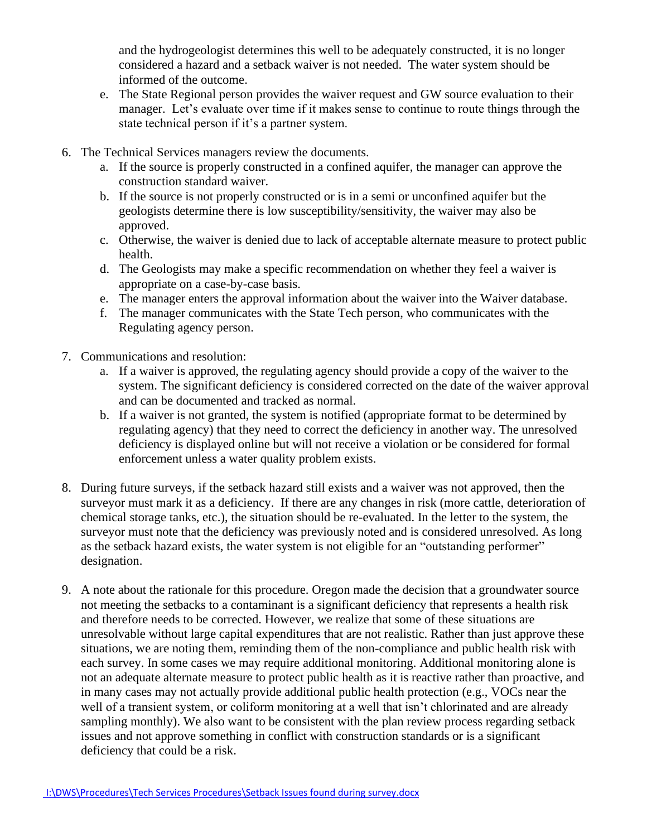and the hydrogeologist determines this well to be adequately constructed, it is no longer considered a hazard and a setback waiver is not needed. The water system should be informed of the outcome.

- e. The State Regional person provides the waiver request and GW source evaluation to their manager. Let's evaluate over time if it makes sense to continue to route things through the state technical person if it's a partner system.
- 6. The Technical Services managers review the documents.
	- a. If the source is properly constructed in a confined aquifer, the manager can approve the construction standard waiver.
	- b. If the source is not properly constructed or is in a semi or unconfined aquifer but the geologists determine there is low susceptibility/sensitivity, the waiver may also be approved.
	- c. Otherwise, the waiver is denied due to lack of acceptable alternate measure to protect public health.
	- d. The Geologists may make a specific recommendation on whether they feel a waiver is appropriate on a case-by-case basis.
	- e. The manager enters the approval information about the waiver into the Waiver database.
	- f. The manager communicates with the State Tech person, who communicates with the Regulating agency person.
- 7. Communications and resolution:
	- a. If a waiver is approved, the regulating agency should provide a copy of the waiver to the system. The significant deficiency is considered corrected on the date of the waiver approval and can be documented and tracked as normal.
	- b. If a waiver is not granted, the system is notified (appropriate format to be determined by regulating agency) that they need to correct the deficiency in another way. The unresolved deficiency is displayed online but will not receive a violation or be considered for formal enforcement unless a water quality problem exists.
- 8. During future surveys, if the setback hazard still exists and a waiver was not approved, then the surveyor must mark it as a deficiency. If there are any changes in risk (more cattle, deterioration of chemical storage tanks, etc.), the situation should be re-evaluated. In the letter to the system, the surveyor must note that the deficiency was previously noted and is considered unresolved. As long as the setback hazard exists, the water system is not eligible for an "outstanding performer" designation.
- 9. A note about the rationale for this procedure. Oregon made the decision that a groundwater source not meeting the setbacks to a contaminant is a significant deficiency that represents a health risk and therefore needs to be corrected. However, we realize that some of these situations are unresolvable without large capital expenditures that are not realistic. Rather than just approve these situations, we are noting them, reminding them of the non-compliance and public health risk with each survey. In some cases we may require additional monitoring. Additional monitoring alone is not an adequate alternate measure to protect public health as it is reactive rather than proactive, and in many cases may not actually provide additional public health protection (e.g., VOCs near the well of a transient system, or coliform monitoring at a well that isn't chlorinated and are already sampling monthly). We also want to be consistent with the plan review process regarding setback issues and not approve something in conflict with construction standards or is a significant deficiency that could be a risk.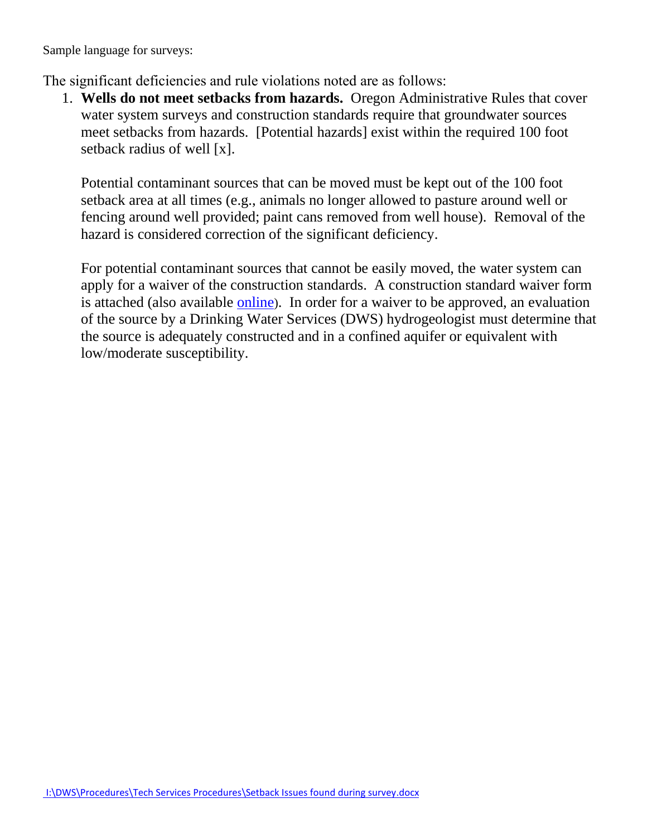Sample language for surveys:

The significant deficiencies and rule violations noted are as follows:

1. **Wells do not meet setbacks from hazards.** Oregon Administrative Rules that cover [water system surveys](http://public.health.oregon.gov/HealthyEnvironments/DrinkingWater/Rules/Documents/61-0075.pdf#page=2) and [construction standards](http://public.health.oregon.gov/HealthyEnvironments/DrinkingWater/Rules/Documents/61-0050.pdf) require that groundwater sources meet setbacks from hazards. [Potential hazards] exist within the required 100 foot setback radius of well [x].

Potential contaminant sources that can be moved must be kept out of the 100 foot setback area at all times (e.g., animals no longer allowed to pasture around well or fencing around well provided; paint cans removed from well house). Removal of the hazard is considered correction of the significant deficiency.

For potential contaminant sources that cannot be easily moved, the water system can apply for a waiver of the construction standards. A construction standard waiver form is attached (also available [online](http://public.health.oregon.gov/HealthyEnvironments/DrinkingWater/PlanReview/Documents/WAIVER.doc)). In order for a waiver to be approved, an evaluation of the source by a Drinking Water Services (DWS) hydrogeologist must determine that the source is adequately constructed and in a confined aquifer or equivalent with low/moderate susceptibility.